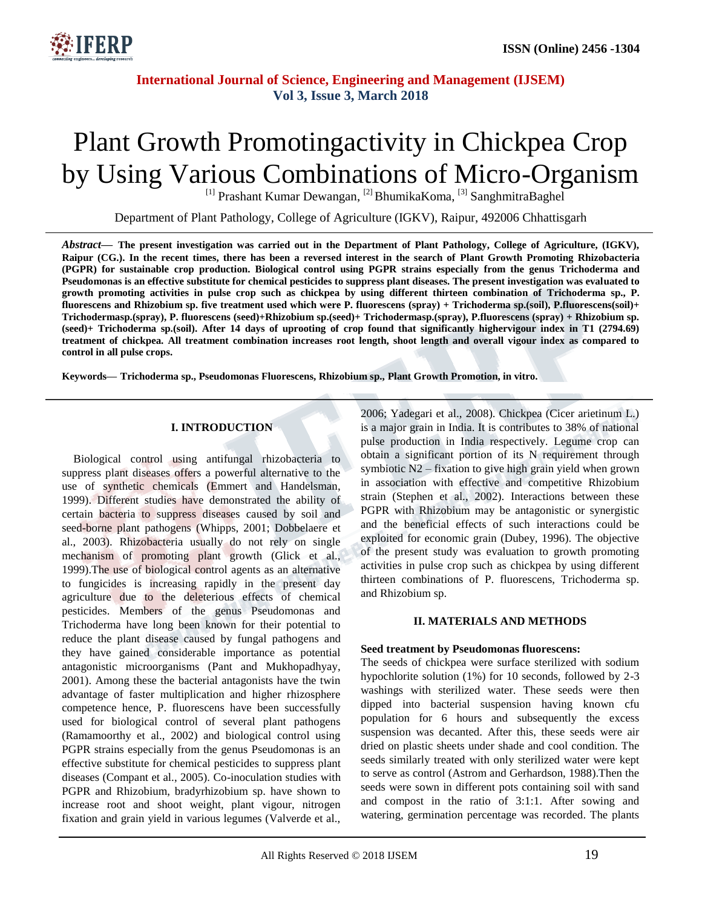

# Plant Growth Promotingactivity in Chickpea Crop by Using Various Combinations of Micro-Organism

<sup>[1]</sup> Prashant Kumar Dewangan, <sup>[2]</sup> BhumikaKoma, <sup>[3]</sup> SanghmitraBaghel

Department of Plant Pathology, College of Agriculture (IGKV), Raipur, 492006 Chhattisgarh

*Abstract—* **The present investigation was carried out in the Department of Plant Pathology, College of Agriculture, (IGKV), Raipur (CG.). In the recent times, there has been a reversed interest in the search of Plant Growth Promoting Rhizobacteria (PGPR) for sustainable crop production. Biological control using PGPR strains especially from the genus Trichoderma and Pseudomonas is an effective substitute for chemical pesticides to suppress plant diseases. The present investigation was evaluated to growth promoting activities in pulse crop such as chickpea by using different thirteen combination of Trichoderma sp., P. fluorescens and Rhizobium sp. five treatment used which were P. fluorescens (spray) + Trichoderma sp.(soil), P.fluorescens(soil)+ Trichodermasp.(spray), P. fluorescens (seed)+Rhizobium sp.(seed)+ Trichodermasp.(spray), P.fluorescens (spray) + Rhizobium sp. (seed)+ Trichoderma sp.(soil). After 14 days of uprooting of crop found that significantly highervigour index in T1 (2794.69) treatment of chickpea. All treatment combination increases root length, shoot length and overall vigour index as compared to control in all pulse crops.**

**Keywords— Trichoderma sp., Pseudomonas Fluorescens, Rhizobium sp., Plant Growth Promotion, in vitro.**

### **I. INTRODUCTION**

Biological control using antifungal rhizobacteria to suppress plant diseases offers a powerful alternative to the use of synthetic chemicals (Emmert and Handelsman, 1999). Different studies have demonstrated the ability of certain bacteria to suppress diseases caused by soil and seed-borne plant pathogens (Whipps, 2001; Dobbelaere et al., 2003). Rhizobacteria usually do not rely on single mechanism of promoting plant growth (Glick et al., 1999).The use of biological control agents as an alternative to fungicides is increasing rapidly in the present day agriculture due to the deleterious effects of chemical pesticides. Members of the genus Pseudomonas and Trichoderma have long been known for their potential to reduce the plant disease caused by fungal pathogens and they have gained considerable importance as potential antagonistic microorganisms (Pant and Mukhopadhyay, 2001). Among these the bacterial antagonists have the twin advantage of faster multiplication and higher rhizosphere competence hence, P. fluorescens have been successfully used for biological control of several plant pathogens (Ramamoorthy et al., 2002) and biological control using PGPR strains especially from the genus Pseudomonas is an effective substitute for chemical pesticides to suppress plant diseases (Compant et al., 2005). Co-inoculation studies with PGPR and Rhizobium, bradyrhizobium sp. have shown to increase root and shoot weight, plant vigour, nitrogen fixation and grain yield in various legumes (Valverde et al.,

2006; Yadegari et al., 2008). Chickpea (Cicer arietinum L.) is a major grain in India. It is contributes to 38% of national pulse production in India respectively. Legume crop can obtain a significant portion of its N requirement through symbiotic N2 – fixation to give high grain yield when grown in association with effective and competitive Rhizobium strain (Stephen et al., 2002). Interactions between these PGPR with Rhizobium may be antagonistic or synergistic and the beneficial effects of such interactions could be exploited for economic grain (Dubey, 1996). The objective of the present study was evaluation to growth promoting activities in pulse crop such as chickpea by using different thirteen combinations of P. fluorescens, Trichoderma sp. and Rhizobium sp.

## **II. MATERIALS AND METHODS**

#### **Seed treatment by Pseudomonas fluorescens:**

The seeds of chickpea were surface sterilized with sodium hypochlorite solution (1%) for 10 seconds, followed by 2-3 washings with sterilized water. These seeds were then dipped into bacterial suspension having known cfu population for 6 hours and subsequently the excess suspension was decanted. After this, these seeds were air dried on plastic sheets under shade and cool condition. The seeds similarly treated with only sterilized water were kept to serve as control (Astrom and Gerhardson, 1988).Then the seeds were sown in different pots containing soil with sand and compost in the ratio of 3:1:1. After sowing and watering, germination percentage was recorded. The plants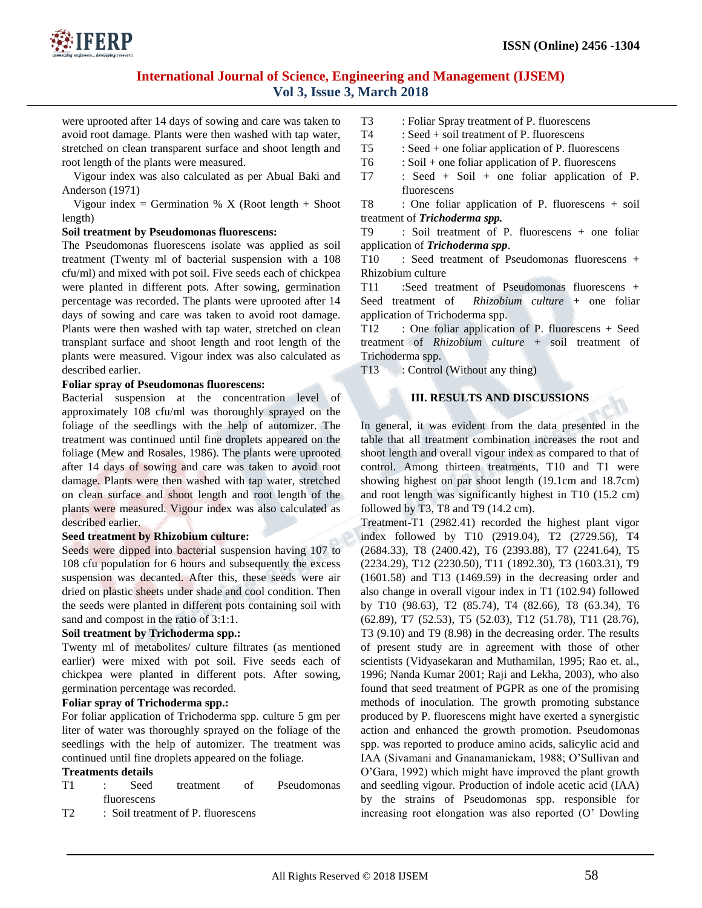

were uprooted after 14 days of sowing and care was taken to avoid root damage. Plants were then washed with tap water, stretched on clean transparent surface and shoot length and root length of the plants were measured.

Vigour index was also calculated as per Abual Baki and Anderson (1971)

Vigour index = Germination % X (Root length + Shoot length)

#### **Soil treatment by Pseudomonas fluorescens:**

The Pseudomonas fluorescens isolate was applied as soil treatment (Twenty ml of bacterial suspension with a 108 cfu/ml) and mixed with pot soil. Five seeds each of chickpea were planted in different pots. After sowing, germination percentage was recorded. The plants were uprooted after 14 days of sowing and care was taken to avoid root damage. Plants were then washed with tap water, stretched on clean transplant surface and shoot length and root length of the plants were measured. Vigour index was also calculated as described earlier.

#### **Foliar spray of Pseudomonas fluorescens:**

Bacterial suspension at the concentration level of approximately 108 cfu/ml was thoroughly sprayed on the foliage of the seedlings with the help of automizer. The treatment was continued until fine droplets appeared on the foliage (Mew and Rosales, 1986). The plants were uprooted after 14 days of sowing and care was taken to avoid root damage. Plants were then washed with tap water, stretched on clean surface and shoot length and root length of the plants were measured. Vigour index was also calculated as described earlier.

#### **Seed treatment by Rhizobium culture:**

Seeds were dipped into bacterial suspension having 107 to 108 cfu population for 6 hours and subsequently the excess suspension was decanted. After this, these seeds were air dried on plastic sheets under shade and cool condition. Then the seeds were planted in different pots containing soil with sand and compost in the ratio of 3:1:1.

#### **Soil treatment by Trichoderma spp.:**

Twenty ml of metabolites/ culture filtrates (as mentioned earlier) were mixed with pot soil. Five seeds each of chickpea were planted in different pots. After sowing, germination percentage was recorded.

#### **Foliar spray of Trichoderma spp.:**

For foliar application of Trichoderma spp. culture 5 gm per liter of water was thoroughly sprayed on the foliage of the seedlings with the help of automizer. The treatment was continued until fine droplets appeared on the foliage.

#### **Treatments details**

- T1 : Seed treatment of Pseudomonas fluorescens
- T2 : Soil treatment of P. fluorescens
- T3 : Foliar Spray treatment of P. fluorescens
- T4 : Seed + soil treatment of P. fluorescens
- $T5$  : Seed + one foliar application of P. fluorescens
- $T6$  : Soil + one foliar application of P. fluorescens
- T7 : Seed + Soil + one foliar application of P. fluorescens

T8 : One foliar application of P. fluorescens + soil treatment of *Trichoderma spp.* 

T9 : Soil treatment of P. fluorescens + one foliar application of *Trichoderma spp*.

T10 : Seed treatment of Pseudomonas fluorescens + Rhizobium culture

T11 :Seed treatment of Pseudomonas fluorescens + Seed treatment of *Rhizobium culture* + one foliar application of Trichoderma spp.

T12 : One foliar application of P. fluorescens + Seed treatment of *Rhizobium culture* + soil treatment of Trichoderma spp.

T13 : Control (Without any thing)

## **III. RESULTS AND DISCUSSIONS**

In general, it was evident from the data presented in the table that all treatment combination increases the root and shoot length and overall vigour index as compared to that of control. Among thirteen treatments, T10 and T1 were showing highest on par shoot length (19.1cm and 18.7cm) and root length was significantly highest in T10 (15.2 cm) followed by T3, T8 and T9 (14.2 cm).

Treatment-T1 (2982.41) recorded the highest plant vigor index followed by T10 (2919.04), T2 (2729.56), T4 (2684.33), T8 (2400.42), T6 (2393.88), T7 (2241.64), T5 (2234.29), T12 (2230.50), T11 (1892.30), T3 (1603.31), T9 (1601.58) and T13 (1469.59) in the decreasing order and also change in overall vigour index in T1 (102.94) followed by T10 (98.63), T2 (85.74), T4 (82.66), T8 (63.34), T6 (62.89), T7 (52.53), T5 (52.03), T12 (51.78), T11 (28.76), T3 (9.10) and T9 (8.98) in the decreasing order. The results of present study are in agreement with those of other scientists (Vidyasekaran and Muthamilan, 1995; Rao et. al., 1996; Nanda Kumar 2001; Raji and Lekha, 2003), who also found that seed treatment of PGPR as one of the promising methods of inoculation. The growth promoting substance produced by P. fluorescens might have exerted a synergistic action and enhanced the growth promotion. Pseudomonas spp. was reported to produce amino acids, salicylic acid and IAA (Sivamani and Gnanamanickam, 1988; O'Sullivan and O'Gara, 1992) which might have improved the plant growth and seedling vigour. Production of indole acetic acid (IAA) by the strains of Pseudomonas spp. responsible for increasing root elongation was also reported (O' Dowling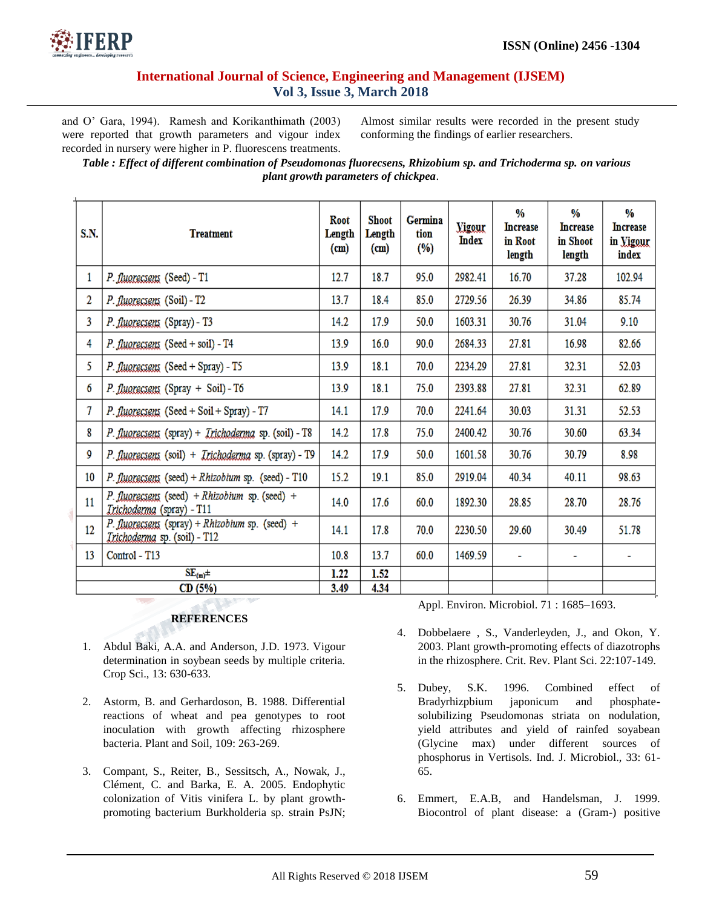

and O' Gara, 1994). Ramesh and Korikanthimath (2003) were reported that growth parameters and vigour index recorded in nursery were higher in P. fluorescens treatments.

Almost similar results were recorded in the present study conforming the findings of earlier researchers.

*Table : Effect of different combination of Pseudomonas fluorecsens, Rhizobium sp. and Trichoderma sp. on various plant growth parameters of chickpea*.

| <b>S.N.</b>     | <b>Treatment</b>                                                                       | Root<br>Length<br>(m) | <b>Shoot</b><br>Length<br>(m) | <b>Germina</b><br>tion<br>(%) | <b>Vigour</b><br>Index | %<br><b>Increase</b><br>in Root<br>length | ₩<br><b>Increase</b><br>in Shoot<br>length | ₩<br><b>Increase</b><br>in Vigour<br>index |
|-----------------|----------------------------------------------------------------------------------------|-----------------------|-------------------------------|-------------------------------|------------------------|-------------------------------------------|--------------------------------------------|--------------------------------------------|
| 1               | P. fluorecsens (Seed) - T1                                                             | 12.7                  | 18.7                          | 95.0                          | 2982.41                | 16.70                                     | 37.28                                      | 102.94                                     |
| 2               | P. fluorecsens (Soil) - T2                                                             | 13.7                  | 18.4                          | 85.0                          | 2729.56                | 26.39                                     | 34.86                                      | 85.74                                      |
| 3               | P. fluorecsens (Spray) - T3                                                            | 14.2                  | 17.9                          | 50.0                          | 1603.31                | 30.76                                     | 31.04                                      | 9.10                                       |
| 4               | $P.$ fluorecsens (Seed + soil) - T4                                                    | 13.9                  | 16.0                          | 90.0                          | 2684.33                | 27.81                                     | 16.98                                      | 82.66                                      |
| 5.              | P. fluorecsens (Seed + Spray) - T5                                                     | 13.9                  | 18.1                          | 70.0                          | 2234.29                | 27.81                                     | 32.31                                      | 52.03                                      |
| 6               | P. fluorecsens (Spray + Soil) - T6                                                     | 13.9                  | 18.1                          | 75.0                          | 2393.88                | 27.81                                     | 32.31                                      | 62.89                                      |
| 7               | P. fluorecsens (Seed + Soil + Spray) - T7                                              | 14.1                  | 17.9                          | 70.0                          | 2241.64                | 30.03                                     | 31.31                                      | 52.53                                      |
| 8               | P. fluorecsens (spray) + <i>Irichoderma</i> sp. (soil) - T8                            | 14.2                  | 17.8                          | 75.0                          | 2400.42                | 30.76                                     | 30.60                                      | 63.34                                      |
| 9               | P. fluorecsens (soil) + <i>Irichoderma</i> sp. (spray) - T9                            | 14.2                  | 17.9                          | 50.0                          | 1601.58                | 30.76                                     | 30.79                                      | 8.98                                       |
| 10 <sup>°</sup> | $P$ . fluorecsens (seed) + Rhizobium sp. (seed) - T10                                  | 15.2                  | 19.1                          | 85.0                          | 2919.04                | 40.34                                     | 40.11                                      | 98.63                                      |
| 11              | P. fluorecsens (seed) + Rhizobium sp. (seed) +<br><i>Trichoderma</i> (spray) - T11     | 14.0                  | 17.6                          | 60.0                          | 1892.30                | 28.85                                     | 28.70                                      | 28.76                                      |
| $12 \,$         | P. fluorecsens (spray) + Rhizobium sp. (seed) +<br><i>Trichoderma</i> sp. (soil) - T12 | 14.1                  | 17.8                          | 70.0                          | 2230.50                | 29.60                                     | 30.49                                      | 51.78                                      |
| 13              | Control - T13                                                                          | 10.8                  | 13.7                          | 60.0                          | 1469.59                | ÷.                                        | ۰                                          | ۰                                          |
| $SE_{(m)}\pm$   |                                                                                        |                       | 1.52                          |                               |                        |                                           |                                            |                                            |
| CD (5%)         |                                                                                        |                       | 4.34                          |                               |                        |                                           |                                            |                                            |

## **REFERENCES**

- 1. Abdul Baki, A.A. and Anderson, J.D. 1973. Vigour determination in soybean seeds by multiple criteria. Crop Sci., 13: 630-633.
- 2. Astorm, B. and Gerhardoson, B. 1988. Differential reactions of wheat and pea genotypes to root inoculation with growth affecting rhizosphere bacteria. Plant and Soil, 109: 263-269.
- 3. Compant, S., Reiter, B., Sessitsch, A., Nowak, J., Clément, C. and Barka, E. A. 2005. Endophytic colonization of Vitis vinifera L. by plant growthpromoting bacterium Burkholderia sp. strain PsJN;

Appl. Environ. Microbiol. 71 : 1685–1693.

- 4. Dobbelaere , S., Vanderleyden, J., and Okon, Y. 2003. Plant growth-promoting effects of diazotrophs in the rhizosphere. Crit. Rev. Plant Sci. 22:107-149.
- 5. Dubey, S.K. 1996. Combined effect of Bradyrhizpbium japonicum and phosphatesolubilizing Pseudomonas striata on nodulation, yield attributes and yield of rainfed soyabean (Glycine max) under different sources of phosphorus in Vertisols. Ind. J. Microbiol., 33: 61- 65.
- 6. Emmert, E.A.B, and Handelsman, J. 1999. Biocontrol of plant disease: a (Gram-) positive